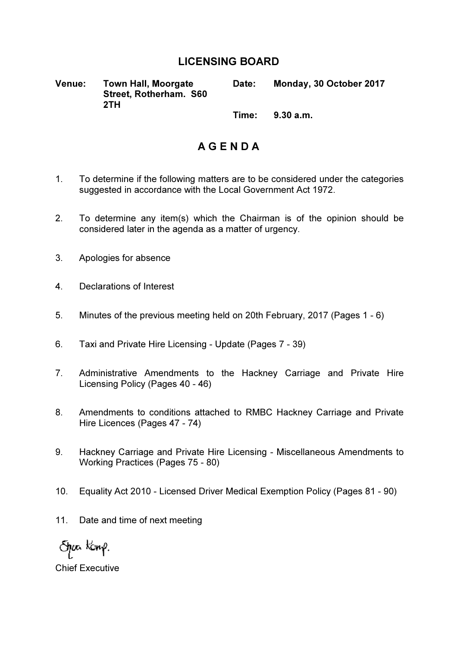## LICENSING BOARD

Venue: Town Hall, Moorgate Street, Rotherham. S60 2TH Date: Monday, 30 October 2017  $Time: 9.30 \text{ am}$ 

A G E N D A

- 1. To determine if the following matters are to be considered under the categories suggested in accordance with the Local Government Act 1972.
- 2. To determine any item(s) which the Chairman is of the opinion should be considered later in the agenda as a matter of urgency.
- 3. Apologies for absence
- 4. Declarations of Interest
- 5. Minutes of the previous meeting held on 20th February, 2017 (Pages 1 6)
- 6. Taxi and Private Hire Licensing Update (Pages 7 39)
- 7. Administrative Amendments to the Hackney Carriage and Private Hire Licensing Policy (Pages 40 - 46)
- 8. Amendments to conditions attached to RMBC Hackney Carriage and Private Hire Licences (Pages 47 - 74)
- 9. Hackney Carriage and Private Hire Licensing Miscellaneous Amendments to Working Practices (Pages 75 - 80)
- 10. Equality Act 2010 Licensed Driver Medical Exemption Policy (Pages 81 90)
- 11. Date and time of next meeting

Span kćmp.

Chief Executive